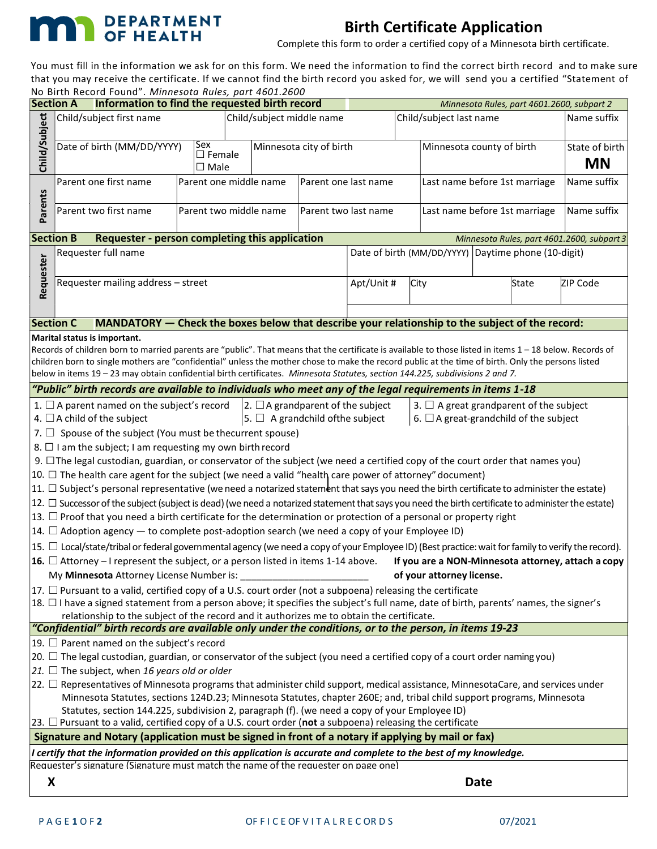

## Birth Certificate Application

Complete this form to order a certified copy of a Minnesota birth certificate.

You must fill in the information we ask for on this form. We need the information to find the correct birth record and to make sure that you may receive the certificate. If we cannot find the birth record you asked for, we will send you a certified "Statement of No Birth Record Found". Minnesota Rules, part 4601.2600

| <b>Section A</b>                                                                                                                                                                                                                                                                                                                                                                                                                                                                                                                                                                                                                                                                                                                                                                                                                                                                                                                                                                                                                                                                                                                                                                                                                                                                                                                                                                                                                                                                                                                                                                                                                                                                                                                                                                                                                                                                                                                                                                         | bitti itecoru rounu : mininesotu nuics, puit 4001.2000<br>Information to find the requested birth record |                                                |  |                                                |                                                                                    |  |                               |                                            |                               | Minnesota Rules, part 4601.2600, subpart 2 |                             |
|------------------------------------------------------------------------------------------------------------------------------------------------------------------------------------------------------------------------------------------------------------------------------------------------------------------------------------------------------------------------------------------------------------------------------------------------------------------------------------------------------------------------------------------------------------------------------------------------------------------------------------------------------------------------------------------------------------------------------------------------------------------------------------------------------------------------------------------------------------------------------------------------------------------------------------------------------------------------------------------------------------------------------------------------------------------------------------------------------------------------------------------------------------------------------------------------------------------------------------------------------------------------------------------------------------------------------------------------------------------------------------------------------------------------------------------------------------------------------------------------------------------------------------------------------------------------------------------------------------------------------------------------------------------------------------------------------------------------------------------------------------------------------------------------------------------------------------------------------------------------------------------------------------------------------------------------------------------------------------------|----------------------------------------------------------------------------------------------------------|------------------------------------------------|--|------------------------------------------------|------------------------------------------------------------------------------------|--|-------------------------------|--------------------------------------------|-------------------------------|--------------------------------------------|-----------------------------|
|                                                                                                                                                                                                                                                                                                                                                                                                                                                                                                                                                                                                                                                                                                                                                                                                                                                                                                                                                                                                                                                                                                                                                                                                                                                                                                                                                                                                                                                                                                                                                                                                                                                                                                                                                                                                                                                                                                                                                                                          | Child/subject first name                                                                                 |                                                |  | Child/subject middle name                      |                                                                                    |  | Child/subject last name       |                                            |                               |                                            | Name suffix                 |
| Child/Subject                                                                                                                                                                                                                                                                                                                                                                                                                                                                                                                                                                                                                                                                                                                                                                                                                                                                                                                                                                                                                                                                                                                                                                                                                                                                                                                                                                                                                                                                                                                                                                                                                                                                                                                                                                                                                                                                                                                                                                            | Date of birth (MM/DD/YYYY)                                                                               | Sex<br>$\square$ Female<br>$\square$ Male      |  |                                                | Minnesota city of birth                                                            |  |                               | Minnesota county of birth                  |                               |                                            | State of birth<br><b>MN</b> |
|                                                                                                                                                                                                                                                                                                                                                                                                                                                                                                                                                                                                                                                                                                                                                                                                                                                                                                                                                                                                                                                                                                                                                                                                                                                                                                                                                                                                                                                                                                                                                                                                                                                                                                                                                                                                                                                                                                                                                                                          | Parent one first name                                                                                    | Parent one middle name<br>Parent one last name |  |                                                |                                                                                    |  | Last name before 1st marriage |                                            |                               | Name suffix                                |                             |
|                                                                                                                                                                                                                                                                                                                                                                                                                                                                                                                                                                                                                                                                                                                                                                                                                                                                                                                                                                                                                                                                                                                                                                                                                                                                                                                                                                                                                                                                                                                                                                                                                                                                                                                                                                                                                                                                                                                                                                                          | Parents<br>Parent two first name                                                                         |                                                |  | Parent two middle name<br>Parent two last name |                                                                                    |  |                               |                                            | Last name before 1st marriage |                                            | Name suffix                 |
| <b>Section B</b>                                                                                                                                                                                                                                                                                                                                                                                                                                                                                                                                                                                                                                                                                                                                                                                                                                                                                                                                                                                                                                                                                                                                                                                                                                                                                                                                                                                                                                                                                                                                                                                                                                                                                                                                                                                                                                                                                                                                                                         | <b>Requester - person completing this application</b>                                                    |                                                |  |                                                |                                                                                    |  |                               | Minnesota Rules, part 4601.2600, subpart 3 |                               |                                            |                             |
| Requester full name<br>Requester<br>Requester mailing address - street                                                                                                                                                                                                                                                                                                                                                                                                                                                                                                                                                                                                                                                                                                                                                                                                                                                                                                                                                                                                                                                                                                                                                                                                                                                                                                                                                                                                                                                                                                                                                                                                                                                                                                                                                                                                                                                                                                                   |                                                                                                          |                                                |  |                                                | Date of birth (MM/DD/YYYY) Daytime phone (10-digit)<br>Apt/Unit #<br>City<br>State |  |                               | ZIP Code                                   |                               |                                            |                             |
|                                                                                                                                                                                                                                                                                                                                                                                                                                                                                                                                                                                                                                                                                                                                                                                                                                                                                                                                                                                                                                                                                                                                                                                                                                                                                                                                                                                                                                                                                                                                                                                                                                                                                                                                                                                                                                                                                                                                                                                          |                                                                                                          |                                                |  |                                                |                                                                                    |  |                               |                                            |                               |                                            |                             |
| <b>Section C</b>                                                                                                                                                                                                                                                                                                                                                                                                                                                                                                                                                                                                                                                                                                                                                                                                                                                                                                                                                                                                                                                                                                                                                                                                                                                                                                                                                                                                                                                                                                                                                                                                                                                                                                                                                                                                                                                                                                                                                                         | MANDATORY - Check the boxes below that describe your relationship to the subject of the record:          |                                                |  |                                                |                                                                                    |  |                               |                                            |                               |                                            |                             |
| Marital status is important.<br>Records of children born to married parents are "public". That means that the certificate is available to those listed in items 1 - 18 below. Records of<br>children born to single mothers are "confidential" unless the mother chose to make the record public at the time of birth. Only the persons listed<br>below in items 19 - 23 may obtain confidential birth certificates. Minnesota Statutes, section 144.225, subdivisions 2 and 7.                                                                                                                                                                                                                                                                                                                                                                                                                                                                                                                                                                                                                                                                                                                                                                                                                                                                                                                                                                                                                                                                                                                                                                                                                                                                                                                                                                                                                                                                                                          |                                                                                                          |                                                |  |                                                |                                                                                    |  |                               |                                            |                               |                                            |                             |
|                                                                                                                                                                                                                                                                                                                                                                                                                                                                                                                                                                                                                                                                                                                                                                                                                                                                                                                                                                                                                                                                                                                                                                                                                                                                                                                                                                                                                                                                                                                                                                                                                                                                                                                                                                                                                                                                                                                                                                                          | "Public" birth records are available to individuals who meet any of the legal requirements in items 1-18 |                                                |  |                                                |                                                                                    |  |                               |                                            |                               |                                            |                             |
| $ 2. \Box A$ grandparent of the subject<br>1. $\Box$ A parent named on the subject's record<br>3. $\Box$ A great grandparent of the subject<br>4. $\Box$ A child of the subject<br>$ 5. \Box$ A grandchild of the subject<br>6. $\Box$ A great-grandchild of the subject<br>7. $\Box$ Spouse of the subject (You must be thecurrent spouse)<br>8. $\Box$ I am the subject; I am requesting my own birth record<br>9. □ The legal custodian, guardian, or conservator of the subject (we need a certified copy of the court order that names you)<br>10. □ The health care agent for the subject (we need a valid "health care power of attorney" document)<br>$ 11. \Box$ Subject's personal representative (we need a notarized statement that says you need the birth certificate to administer the estate)<br>$ 12. \Box$ Successor of the subject (subject is dead) (we need a notarized statement that says you need the birth certificate to administer the estate)<br>$ 13. \Box$ Proof that you need a birth certificate for the determination or protection of a personal or property right<br>$ 14. \Box$ Adoption agency $-$ to complete post-adoption search (we need a copy of your Employee ID)<br>$ 15. \Box$ Local/state/tribal or federal governmental agency (we need a copy of your Employee ID) (Best practice: wait for family to verify the record).<br><b>16.</b> $\Box$ Attorney – I represent the subject, or a person listed in items 1-14 above.<br>If you are a NON-Minnesota attorney, attach a copy<br>My Minnesota Attorney License Number is: ____________<br>of your attorney license.<br>$ 17. \Box$ Pursuant to a valid, certified copy of a U.S. court order (not a subpoena) releasing the certificate<br>$ 18. \Box$ I have a signed statement from a person above; it specifies the subject's full name, date of birth, parents' names, the signer's<br>relationship to the subject of the record and it authorizes me to obtain the certificate. |                                                                                                          |                                                |  |                                                |                                                                                    |  |                               |                                            |                               |                                            |                             |
|                                                                                                                                                                                                                                                                                                                                                                                                                                                                                                                                                                                                                                                                                                                                                                                                                                                                                                                                                                                                                                                                                                                                                                                                                                                                                                                                                                                                                                                                                                                                                                                                                                                                                                                                                                                                                                                                                                                                                                                          | "Confidential" birth records are available only under the conditions, or to the person, in items 19-23   |                                                |  |                                                |                                                                                    |  |                               |                                            |                               |                                            |                             |
| 19. $\Box$ Parent named on the subject's record<br>$ 20. \Box$ The legal custodian, guardian, or conservator of the subject (you need a certified copy of a court order naming you)<br>21. $\Box$ The subject, when 16 years old or older<br>$ 22. \Box$ Representatives of Minnesota programs that administer child support, medical assistance, MinnesotaCare, and services under<br>Minnesota Statutes, sections 124D.23; Minnesota Statutes, chapter 260E; and, tribal child support programs, Minnesota<br>Statutes, section 144.225, subdivision 2, paragraph (f). (we need a copy of your Employee ID)<br>23. $\Box$ Pursuant to a valid, certified copy of a U.S. court order (not a subpoena) releasing the certificate                                                                                                                                                                                                                                                                                                                                                                                                                                                                                                                                                                                                                                                                                                                                                                                                                                                                                                                                                                                                                                                                                                                                                                                                                                                         |                                                                                                          |                                                |  |                                                |                                                                                    |  |                               |                                            |                               |                                            |                             |
| Signature and Notary (application must be signed in front of a notary if applying by mail or fax)                                                                                                                                                                                                                                                                                                                                                                                                                                                                                                                                                                                                                                                                                                                                                                                                                                                                                                                                                                                                                                                                                                                                                                                                                                                                                                                                                                                                                                                                                                                                                                                                                                                                                                                                                                                                                                                                                        |                                                                                                          |                                                |  |                                                |                                                                                    |  |                               |                                            |                               |                                            |                             |
| I certify that the information provided on this application is accurate and complete to the best of my knowledge.<br>Requester's signature (Signature must match the name of the requester on page one)                                                                                                                                                                                                                                                                                                                                                                                                                                                                                                                                                                                                                                                                                                                                                                                                                                                                                                                                                                                                                                                                                                                                                                                                                                                                                                                                                                                                                                                                                                                                                                                                                                                                                                                                                                                  |                                                                                                          |                                                |  |                                                |                                                                                    |  |                               |                                            |                               |                                            |                             |
| X                                                                                                                                                                                                                                                                                                                                                                                                                                                                                                                                                                                                                                                                                                                                                                                                                                                                                                                                                                                                                                                                                                                                                                                                                                                                                                                                                                                                                                                                                                                                                                                                                                                                                                                                                                                                                                                                                                                                                                                        |                                                                                                          |                                                |  |                                                |                                                                                    |  |                               |                                            | <b>Date</b>                   |                                            |                             |
|                                                                                                                                                                                                                                                                                                                                                                                                                                                                                                                                                                                                                                                                                                                                                                                                                                                                                                                                                                                                                                                                                                                                                                                                                                                                                                                                                                                                                                                                                                                                                                                                                                                                                                                                                                                                                                                                                                                                                                                          |                                                                                                          |                                                |  |                                                |                                                                                    |  |                               |                                            |                               |                                            |                             |